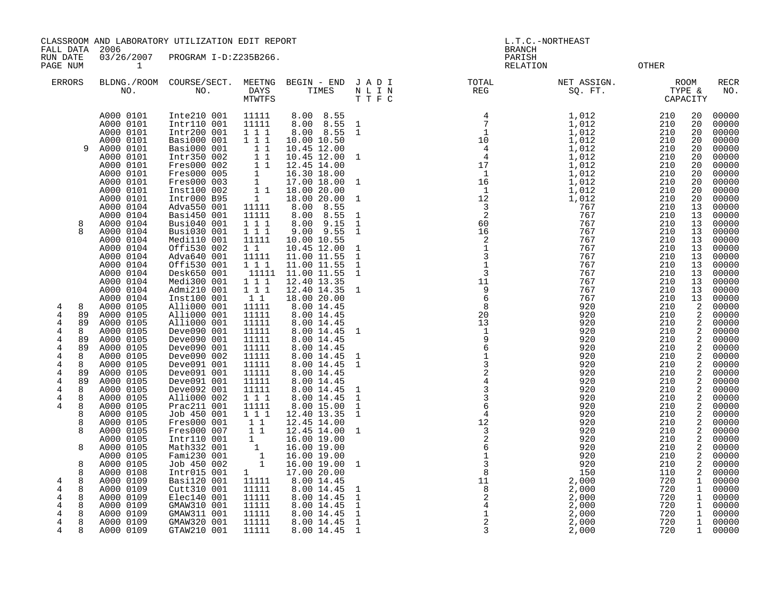CLASSROOM AND LABORATORY UTILIZATION EDIT REPORT AND REPORT THE L.T.C.-NORTHEAST

FALL DATA 2006 BRANCH

RUN DATE 03/26/2007 PROGRAM I-D:Z235B266.<br>PAGE NUM 1

**PAGE 1 RELATION OTHER** 

| <b>ERRORS</b>                                                         |                              | BLDNG./ROOM<br>NO.                                                         | COURSE/SECT.<br>NO.                                                                    | MEETNG<br>DAYS<br><b>MTWTFS</b>                                                                                            | BEGIN - END<br>TIMES                                                                                                                                                  | JADI<br>$\begin{array}{ccccc} \text{N} & \text{L} & \text{I} & \text{N} \\ \text{T} & \text{T} & \text{F} & \text{C} \end{array}$ | $_{\tt TOTAL}$<br>REG                                                                                           | NET ASSIGN.<br>SQ. FT.                                                   |                                        | <b>ROOM</b><br>TYPE &<br>CAPACITY                      | <b>RECR</b><br>NO.                                 |
|-----------------------------------------------------------------------|------------------------------|----------------------------------------------------------------------------|----------------------------------------------------------------------------------------|----------------------------------------------------------------------------------------------------------------------------|-----------------------------------------------------------------------------------------------------------------------------------------------------------------------|-----------------------------------------------------------------------------------------------------------------------------------|-----------------------------------------------------------------------------------------------------------------|--------------------------------------------------------------------------|----------------------------------------|--------------------------------------------------------|----------------------------------------------------|
|                                                                       | 9                            | A000 0101<br>A000 0101<br>A000 0101<br>A000 0101<br>A000 0101<br>A000 0101 | Inte210 001<br>Intr110 001<br>Intr200 001<br>Basi000 001<br>Basi000 001<br>Intr350 002 | 11111<br>11111<br>$1 \quad 1 \quad 1$<br>$1\ 1\ 1$<br>11<br>11                                                             | 8.00 8.55<br>8.00<br>8.55<br>8.00 8.55<br>10.00 10.50<br>10.45 12.00<br>10.45 12.00 1                                                                                 | $\mathbf{1}$<br>$\mathbf{1}$                                                                                                      | $\begin{array}{c} 4 \\ 7 \\ 10 \\ 4 \\ 4 \\ 17 \\ 1 \\ 16 \\ 1 \end{array}$                                     | $1\,,012$<br>1,012<br>$\frac{1}{1}$ , 012<br>1, 012                      | 210<br>210<br>210<br>210<br>210<br>210 | 20<br>20<br>20<br>20<br>20<br>20                       | 00000<br>00000<br>00000<br>00000<br>00000<br>00000 |
|                                                                       |                              | A000 0101<br>A000 0101<br>A000 0101<br>A000 0101<br>A000 0101<br>A000 0104 | Fres000 002<br>Fres000 005<br>Fres000 003<br>Inst100 002<br>Intr000 B95<br>Adva550 001 | 11<br>$\overline{1}$<br>$\overline{\mathbf{1}}$<br>11<br>1<br>11111                                                        | 12.45 14.00<br>16.30 18.00<br>17.00 18.00 1<br>18.00 20.00<br>18.00 20.00<br>8.00<br>8.55                                                                             | $\mathbf{1}$                                                                                                                      | $\overline{1}$<br>12<br>$\overline{\mathbf{3}}$                                                                 | 1,012<br>1,012<br>1,012<br>1,012<br>1,012<br>$1,012$<br>$1,012$<br>$767$ | 210<br>210<br>210<br>210<br>210<br>210 | 20<br>20<br>20<br>20<br>20<br>13                       | 00000<br>00000<br>00000<br>00000<br>00000<br>00000 |
|                                                                       | 8                            | A000 0104<br>A000 0104<br>A000 0104<br>A000 0104<br>A000 0104<br>A000 0104 | Basi450 001<br>Busi040 001<br>Busi030 001<br>Medi110 001<br>Offi530 002<br>Adva640 001 | 11111<br>$1\ 1\ 1$<br>$1 1 1$<br>11111<br>$1\quad1$<br>11111                                                               | 8.00<br>8.55<br>8.00<br>9.15<br>9.00 9.55<br>10.00 10.55<br>10.45 12.00<br>11.00 11.55                                                                                | $\mathbf{1}$<br>$\mathbf{1}$<br>$\mathbf{1}$<br>$\mathbf{1}$<br>$\mathbf{1}$                                                      | $\overline{a}$<br>60<br>16                                                                                      | 767<br>767<br>767<br>767<br>767<br>767                                   | 210<br>210<br>210<br>210<br>210<br>210 | 13<br>13<br>13<br>13<br>13<br>13                       | 00000<br>00000<br>00000<br>00000<br>00000<br>00000 |
|                                                                       | 8                            | A000 0104<br>A000 0104<br>A000 0104<br>A000 0104<br>A000 0104<br>A000 0105 | Offi530 001<br>Desk650 001<br>Medi300 001<br>Admi210 001<br>Inst100 001<br>Alli000 001 | $1 \quad 1 \quad 1$<br>11111<br>$\begin{smallmatrix} 1 & 1 & 1 \\ 1 & 1 & 1 \\ 1 & 1 & 1 \end{smallmatrix}$<br>11<br>11111 | 11.00 11.55<br>11.00 11.55<br>12.40 13.35<br>12.40 14.35<br>18.00 20.00<br>8.0014.45                                                                                  | $\overline{1}$<br>$\mathbf{1}$<br>$\overline{1}$                                                                                  |                                                                                                                 | 767<br>767<br>767<br>767<br>767<br>920                                   | 210<br>210<br>210<br>210<br>210<br>210 | 13<br>13<br>13<br>13<br>13<br>2                        | 00000<br>00000<br>00000<br>00000<br>00000<br>00000 |
| 4<br>$\,4$<br>$\overline{4}$<br>4<br>$\overline{4}$<br>$\overline{4}$ | 89<br>89<br>8<br>89<br>89    | A000 0105<br>A000 0105<br>A000 0105<br>A000 0105<br>A000 0105              | Alli000 001<br>Alli000 001<br>Deve090 001<br>Deve090 001<br>Deve090 001                | 11111<br>11111<br>11111<br>11111<br>11111                                                                                  | 8.00 14.45<br>8.00 14.45<br>8.00 14.45<br>8.00 14.45<br>8.00 14.45                                                                                                    | $\overline{1}$                                                                                                                    |                                                                                                                 | 920<br>920<br>920<br>920<br>920                                          | 210<br>210<br>210<br>210<br>210        | 2<br>2<br>2<br>2<br>2                                  | 00000<br>00000<br>00000<br>00000<br>00000          |
| 4<br>$\overline{4}$<br>4<br>4<br>4<br>4                               | 8<br>8<br>89<br>89<br>8<br>8 | A000 0105<br>A000 0105<br>A000 0105<br>A000 0105<br>A000 0105<br>A000 0105 | Deve090 002<br>Deve091 001<br>Deve091 001<br>Deve091 001<br>Deve092 001<br>Alli000 002 | 11111<br>11111<br>11111<br>11111<br>11111<br>111                                                                           | 8.00 14.45<br>8.00 14.45<br>8.00 14.45<br>8.00 14.45<br>8.00 14.45                                                                                                    | $\mathbf{1}$<br>$\mathbf{1}$<br>$\mathbf{1}$<br><sup>1</sup>                                                                      | 9613243364                                                                                                      | 920<br>920<br>920<br>920<br>920<br>920                                   | 210<br>210<br>210<br>210<br>210<br>210 | 2<br>2<br>2<br>2<br>2<br>2                             | 00000<br>00000<br>00000<br>00000<br>00000<br>00000 |
| $\overline{4}$                                                        | 8<br>8<br>8<br>8             | A000 0105<br>A000 0105<br>A000 0105<br>A000 0105<br>A000 0105              | Prac211 001<br>Job 450 001<br>Fres000 001<br>Fres000 007<br>Intr110 001                | 11111<br>1 1 1<br>11<br>$1\quad1$<br>1                                                                                     | $\begin{array}{c} 8.00 \ 14.45 \\ 8.00 \ 15.00 \\ 12.40 \ 13.35 \end{array}$<br>$\begin{array}{rrrr} 12.45 & 14.00 & \\ 12.45 & 14.00 & 1 \end{array}$<br>16.00 19.00 | $\mathbf{1}$<br>$\mathbf{1}$                                                                                                      |                                                                                                                 | 920<br>920<br>920<br>920<br>920                                          | 210<br>210<br>210<br>210<br>210        | 2<br>2<br>2<br>2<br>2                                  | 00000<br>00000<br>00000<br>00000<br>00000          |
| 4<br>$\overline{4}$                                                   | 8<br>8<br>8<br>8<br>8        | A000 0105<br>A000 0105<br>A000 0105<br>A000 0108<br>A000 0109<br>A000 0109 | Math332 001<br>Fami230 001<br>Job 450 002<br>Intr015 001<br>Basi120 001<br>Cutt310 001 | $\begin{bmatrix} 1 \\ 1 \\ 1 \end{bmatrix}$<br>$1 \quad \Box$<br>11111<br>11111                                            | 16.00 19.00<br>16.00 19.00<br>16.00 19.00 1<br>17.00 20.00<br>8.00 14.45<br>8.00 14.45                                                                                | $\mathbf{1}$                                                                                                                      | $\begin{array}{c} 4 \\ 12 \\ 3 \\ 2 \\ 6 \\ 1 \\ 3 \\ 8 \\ 1 \\ 1 \\ 8 \\ 2 \\ 4 \\ 1 \\ 2 \\ 3 \\ \end{array}$ | 920<br>920<br>920<br>150<br>2,000<br>2,000                               | 210<br>210<br>210<br>110<br>720<br>720 | 2<br>2<br>2<br>2<br>$\mathbf{1}$<br>1                  | 00000<br>00000<br>00000<br>00000<br>00000<br>00000 |
| 4<br>4<br>4<br>4<br>4                                                 | 8<br>8<br>8<br>8<br>8        | A000 0109<br>A000 0109<br>A000 0109<br>A000 0109<br>A000 0109              | Elec140 001<br>GMAW310 001<br>GMAW311 001<br>GMAW320 001<br>GTAW210 001                | 11111<br>11111<br>11111<br>11111<br>11111                                                                                  | 8.00 14.45<br>8.00 14.45<br>8.00 14.45<br>8.00 14.45<br>8.00 14.45                                                                                                    | $\mathbf{1}$<br>$\mathbf{1}$<br>$\mathbf{1}$<br>$\mathbf 1$<br>$\overline{1}$                                                     | 3                                                                                                               | 2,000<br>2,000<br>2,000<br>2,000<br>2,000                                | 720<br>720<br>720<br>720<br>720        | $\mathbf{1}$<br>$\mathbf{1}$<br>1<br>$\mathbf{1}$<br>1 | 00000<br>00000<br>00000<br>00000<br>00000          |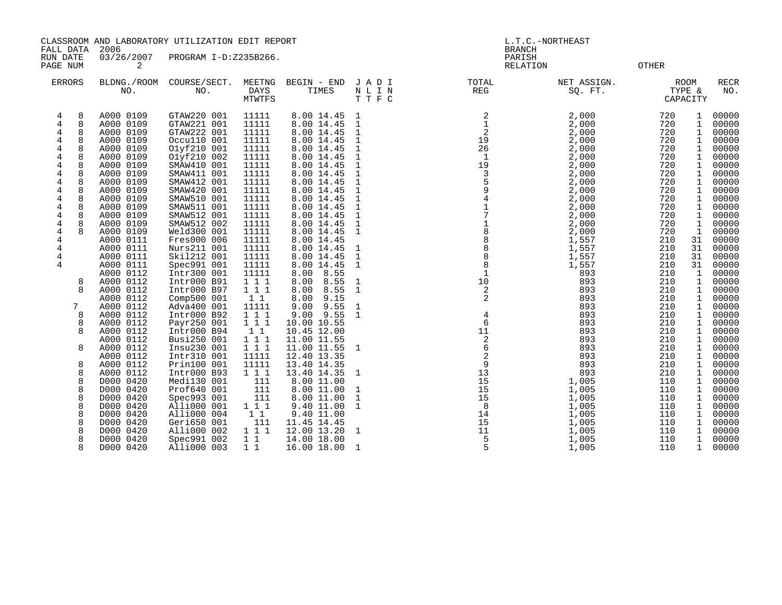CLASSROOM AND LABORATORY UTILIZATION EDIT REPORT AND REPORT STATES AND L.T.C. -NORTHEAST

FALL DATA 2006 BRANCH

RUN DATE 03/26/2007 PROGRAM I-D:Z235B266.<br>PAGE NUM 2 PAGE NUM 2 RELATION OTHER

|   | <b>ERRORS</b> | BLDNG./ROOM<br>NO.     | COURSE/SECT.<br>NO.        | MEETNG<br><b>DAYS</b><br>MTWTFS | BEGIN - END<br>TIMES         | JADI<br>N L I N<br>TTFC      | TOTAL<br>REG                          | NET ASSIGN.<br>SQ. FT. |            | <b>ROOM</b><br>TYPE &<br>CAPACITY | <b>RECR</b><br>NO. |
|---|---------------|------------------------|----------------------------|---------------------------------|------------------------------|------------------------------|---------------------------------------|------------------------|------------|-----------------------------------|--------------------|
| 4 | 8             | A000 0109              | GTAW220 001                | 11111                           | 8.00 14.45                   | 1                            | 2                                     | 2,000                  | 720        | 1                                 | 00000              |
| 4 | 8             | A000 0109              | GTAW221 001                | 11111                           | 8.00 14.45                   | $\mathbf{1}$                 |                                       | 2,000                  | 720        | 1                                 | 00000              |
| 4 | 8             | A000 0109              | GTAW222 001                | 11111                           | 8.00 14.45                   | 1                            | 2                                     | 2,000                  | 720        | 1                                 | 00000              |
| 4 |               | A000 0109              | Occu110 001                | 11111                           | 8.00 14.45                   | $\mathbf{1}$                 | 19                                    | 2,000                  | 720        | 1                                 | 00000              |
| 4 | 8             | A000 0109              | 01yf210 001                | 11111                           | 8.00 14.45                   | $\mathbf{1}$                 | 26                                    | 2,000                  | 720        | 1                                 | 00000              |
| 4 | 8             | A000 0109              | Olyf210 002                | 11111                           | 8.00 14.45                   | $\mathbf{1}$                 | -1                                    | 2,000                  | 720        | 1                                 | 00000              |
| 4 | 8             | A000 0109              | SMAW410 001                | 11111                           | 8.00 14.45                   | 1                            | 19                                    | 2,000                  | 720        | 1                                 | 00000              |
| 4 | 8             | A000 0109              | SMAW411 001                | 11111                           | 8.00 14.45                   | $\mathbf{1}$                 | 3                                     | 2,000                  | 720        | 1                                 | 00000              |
| 4 | 8             | A000 0109              | SMAW412 001                | 11111                           | 8.00 14.45                   | $\mathbf{1}$                 |                                       | 2,000                  | 720        | 1                                 | 00000              |
| 4 |               | A000 0109              | SMAW420 001                | 11111                           | 8.00 14.45                   | $\mathbf{1}$                 | 9                                     | 2,000                  | 720        | 1                                 | 00000              |
| 4 | 8             | A000 0109              | SMAW510 001                | 11111                           | 8.00 14.45                   | 1                            |                                       | 2,000                  | 720        | 1                                 | 00000              |
| 4 | 8             | A000 0109              | SMAW511 001                | 11111                           | 8.00 14.45                   | $\mathbf 1$                  |                                       | 2,000                  | 720        | 1                                 | 00000              |
| 4 | 8             | A000 0109              | SMAW512 001                | 11111                           | 8.00 14.45                   | $\mathbf{1}$                 |                                       | 2,000                  | 720        | 1                                 | 00000              |
| 4 | 8             | A000 0109              | SMAW512 002                | 11111                           | 8.00 14.45                   | $\mathbf 1$                  |                                       | 2,000                  | 720        | 1                                 | 00000              |
| 4 |               | A000 0109              | Weld300 001                | 11111                           | 8.00 14.45                   | 1                            | 8                                     | 2,000                  | 720        | $\mathbf{1}$                      | 00000              |
| 4 |               | A000 0111              | Fres000 006                | 11111                           | 8.00 14.45                   |                              |                                       | 1,557                  | 210        | 31                                | 00000              |
| 4 |               | A000 0111              | Nurs211 001                | 11111                           | 8.00 14.45                   | 1                            | 8                                     | 1,557                  | 210        | 31                                | 00000              |
| 4 |               | A000 0111              | Ski1212 001                | 11111                           | 8.00 14.45                   | $\mathbf{1}$                 | 8                                     | 1,557                  | 210        | 31                                | 00000              |
| 4 |               | A000 0111              | Spec991 001                | 11111                           | 8.00 14.45                   | $\mathbf 1$                  |                                       | 1,557                  | 210        | 31                                | 00000              |
|   | 8             | A000 0112<br>A000 0112 | Intr300 001<br>Intr000 B91 | 11111<br>111                    | 8.55<br>8.00<br>8.00<br>8.55 |                              | 10                                    | 893<br>893             | 210<br>210 | 1<br>1                            | 00000<br>00000     |
|   | 8             | A000 0112              | Intr000 B97                | 1 1 1                           | 8.00<br>8.55                 | $\mathbf{1}$<br>$\mathbf{1}$ | 2                                     | 893                    | 210        | 1                                 | 00000              |
|   |               | A000 0112              | Comp500 001                | $1\quad1$                       | 9.15<br>8.00                 |                              | 2                                     | 893                    | 210        | 1                                 | 00000              |
|   | 7             | A000 0112              | Adva400 001                | 11111                           | $9.00$ $9.55$                | $\mathbf{1}$                 |                                       | 893                    | 210        | 1                                 | 00000              |
|   | 8             | A000 0112              | Intr000 B92                | 111                             | $9.00$ $9.55$                | $\mathbf{1}$                 | 4                                     | 893                    | 210        | 1                                 | 00000              |
|   | 8             | A000 0112              | Payr250 001                | 1 1 1                           | 10.00 10.55                  |                              | 6                                     | 893                    | 210        | 1                                 | 00000              |
|   | 8             | A000 0112              | Intr000 B94                | $1\quad1$                       | 10.45 12.00                  |                              | 11                                    | 893                    | 210        | 1                                 | 00000              |
|   |               | A000 0112              | Busi250 001                | 1 1 1                           | 11.00 11.55                  |                              |                                       | 893                    | 210        | 1                                 | 00000              |
|   | 8             | A000 0112              | Insu230 001                | 1 1 1                           | 11.00 11.55                  | 1                            | $\begin{array}{c} 2 \\ 6 \end{array}$ | 893                    | 210        | 1                                 | 00000              |
|   |               | A000 0112              | Intr310 001                | 11111                           | 12.40 13.35                  |                              | 2                                     | 893                    | 210        | 1                                 | 00000              |
|   | 8             | A000 0112              | Prin100 001                | 11111                           | 13.40 14.35                  |                              | 9                                     | 893                    | 210        | 1                                 | 00000              |
|   | 8             | A000 0112              | Intr000 B93                | 1 1 1                           | 13.40 14.35                  | $\mathbf{1}$                 | 13                                    | 893                    | 210        | 1                                 | 00000              |
|   | 8             | D000 0420              | Medi130 001                | 111                             | 8.00 11.00                   |                              | 15                                    | 1,005                  | 110        | 1                                 | 00000              |
|   | 8             | D000 0420              | Prof640 001                | 111                             | 8.00 11.00                   | 1                            | 15                                    | 1,005                  | 110        | 1                                 | 00000              |
|   | 8             | D000 0420              | Spec993 001                | 111                             | 8.00 11.00                   | $\mathbf{1}$                 | 15                                    | 1,005                  | 110        | 1                                 | 00000              |
|   | 8             | D000 0420              | Alli000 001                | $1 1 1$                         | 9.40 11.00                   | 1                            | - 8                                   | 1,005                  | 110        | 1                                 | 00000              |
|   | 8             | D000 0420              | Alli000 004                | $1\quad1$                       | 9.40 11.00                   |                              | 14                                    | 1,005                  | 110        | 1                                 | 00000              |
|   | 8             | D000 0420              | Geri650 001                | 111                             | 11.45 14.45                  |                              | 15                                    | 1,005                  | 110        | 1                                 | 00000              |
|   | 8             | D000 0420              | Alli000 002                | 1 1 1                           | 12.00 13.20                  | 1                            | 11                                    | 1,005                  | 110        | 1                                 | 00000              |
|   | 8             | D000 0420              | Spec991 002                | 1 1                             | 14.00 18.00                  |                              | 5                                     | 1,005                  | 110        | 1                                 | 00000              |
|   | 8             | D000 0420              | Alli000 003                | $1\quad1$                       | 16.00 18.00                  | 1                            | 5                                     | 1,005                  | 110        | 1                                 | 00000              |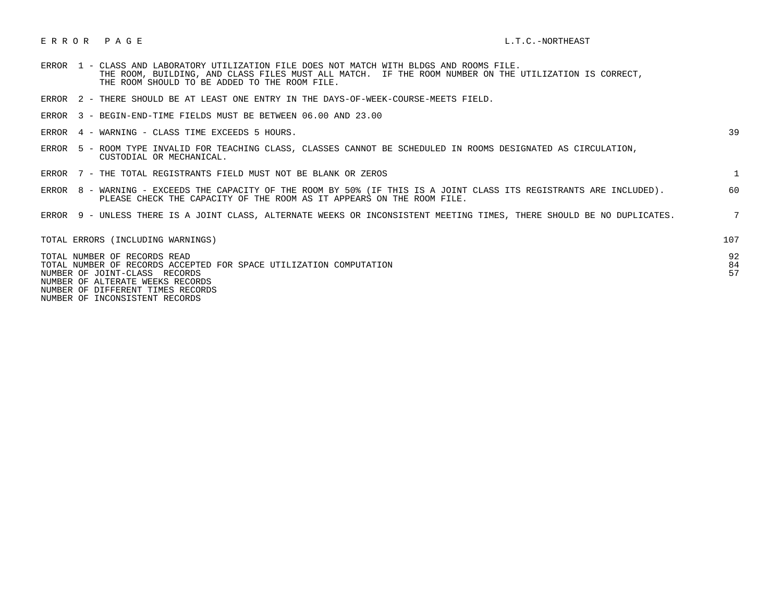## E R R O R P A G E L.T.C.-NORTHEAST

- ERROR 1 CLASS AND LABORATORY UTILIZATION FILE DOES NOT MATCH WITH BLDGS AND ROOMS FILE. THE ROOM, BUILDING, AND CLASS FILES MUST ALL MATCH. IF THE ROOM NUMBER ON THE UTILIZATION IS CORRECT, THE ROOM SHOULD TO BE ADDED TO THE ROOM FILE.
- ERROR 2 THERE SHOULD BE AT LEAST ONE ENTRY IN THE DAYS-OF-WEEK-COURSE-MEETS FIELD.
- ERROR 3 BEGIN-END-TIME FIELDS MUST BE BETWEEN 06.00 AND 23.00
- $ERROR$  4 WARNING CLASS TIME EXCEEDS 5 HOURS.

- ERROR 5 ROOM TYPE INVALID FOR TEACHING CLASS, CLASSES CANNOT BE SCHEDULED IN ROOMS DESIGNATED AS CIRCULATION, CUSTODIAL OR MECHANICAL.
- ERROR 7 THE TOTAL REGISTRANTS FIELD MUST NOT BE BLANK OR ZEROS 1
- ERROR 8 WARNING EXCEEDS THE CAPACITY OF THE ROOM BY 50% (IF THIS IS A JOINT CLASS ITS REGISTRANTS ARE INCLUDED). 60 PLEASE CHECK THE CAPACITY OF THE ROOM AS IT APPEARS ON THE ROOM FILE.
- ERROR 9 UNLESS THERE IS A JOINT CLASS, ALTERNATE WEEKS OR INCONSISTENT MEETING TIMES, THERE SHOULD BE NO DUPLICATES. 7

| TOTAL ERRORS (INCLUDING WARNINGS)                                                                                                                                                                            | 107            |
|--------------------------------------------------------------------------------------------------------------------------------------------------------------------------------------------------------------|----------------|
| TOTAL NUMBER OF RECORDS READ<br>TOTAL NUMBER OF RECORDS ACCEPTED FOR SPACE UTILIZATION COMPUTATION<br>NUMBER OF JOINT-CLASS RECORDS<br>NUMBER OF ALTERATE WEEKS RECORDS<br>NUMBER OF DIFFERENT TIMES RECORDS | 92<br>84<br>57 |

NUMBER OF INCONSISTENT RECORDS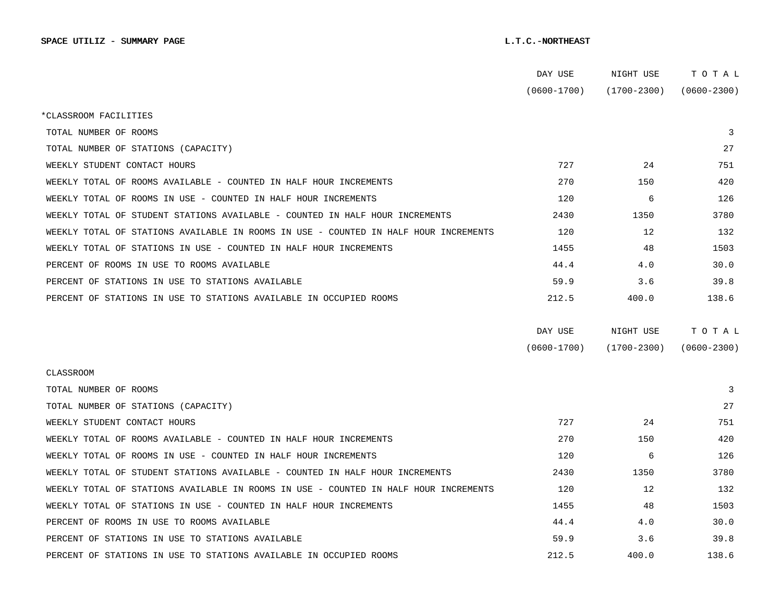|                                                                                      | DAY USE         | NIGHT USE         | тотаь           |
|--------------------------------------------------------------------------------------|-----------------|-------------------|-----------------|
|                                                                                      | $(0600 - 1700)$ | $(1700 - 2300)$   | $(0600 - 2300)$ |
| *CLASSROOM FACILITIES                                                                |                 |                   |                 |
| TOTAL NUMBER OF ROOMS                                                                |                 |                   | 3               |
| TOTAL NUMBER OF STATIONS (CAPACITY)                                                  |                 |                   | 27              |
| WEEKLY STUDENT CONTACT HOURS                                                         | 727             | 24                | 751             |
| WEEKLY TOTAL OF ROOMS AVAILABLE - COUNTED IN HALF HOUR INCREMENTS                    | 270             | 150               | 420             |
| WEEKLY TOTAL OF ROOMS IN USE - COUNTED IN HALF HOUR INCREMENTS                       | 120             | 6                 | 126             |
| WEEKLY TOTAL OF STUDENT STATIONS AVAILABLE - COUNTED IN HALF HOUR INCREMENTS         | 2430            | 1350              | 3780            |
| WEEKLY TOTAL OF STATIONS AVAILABLE IN ROOMS IN USE - COUNTED IN HALF HOUR INCREMENTS | 120             | $12 \overline{ }$ | 132             |
| WEEKLY TOTAL OF STATIONS IN USE - COUNTED IN HALF HOUR INCREMENTS                    | 1455            | 48                | 1503            |
| PERCENT OF ROOMS IN USE TO ROOMS AVAILABLE                                           | 44.4            | 4.0               | 30.0            |
| PERCENT OF STATIONS IN USE TO STATIONS AVAILABLE                                     | 59.9            | 3.6               | 39.8            |
| PERCENT OF STATIONS IN USE TO STATIONS AVAILABLE IN OCCUPIED ROOMS                   | 212.5           | 400.0             | 138.6           |
|                                                                                      | DAY USE         | NIGHT USE         | TOTAL           |
|                                                                                      | $(0600 - 1700)$ | $(1700 - 2300)$   | $(0600 - 2300)$ |
| <b>CLASSROOM</b>                                                                     |                 |                   |                 |
| TOTAL NUMBER OF ROOMS                                                                |                 |                   | 3               |
| TOTAL NUMBER OF STATIONS (CAPACITY)                                                  |                 |                   | 27              |
| WEEKLY STUDENT CONTACT HOURS                                                         | 727             | 24                | 751             |
| WEEKLY TOTAL OF ROOMS AVAILABLE - COUNTED IN HALF HOUR INCREMENTS                    | 270             | 150               | 420             |
| WEEKLY TOTAL OF ROOMS IN USE - COUNTED IN HALF HOUR INCREMENTS                       | 120             | 6                 | 126             |
|                                                                                      |                 |                   |                 |
| WEEKLY TOTAL OF STUDENT STATIONS AVAILABLE - COUNTED IN HALF HOUR INCREMENTS         | 2430            | 1350              | 3780            |
| WEEKLY TOTAL OF STATIONS AVAILABLE IN ROOMS IN USE - COUNTED IN HALF HOUR INCREMENTS | 120             | 12 <sup>°</sup>   | 132             |
| WEEKLY TOTAL OF STATIONS IN USE - COUNTED IN HALF HOUR INCREMENTS                    | 1455            | 48                | 1503            |
| PERCENT OF ROOMS IN USE TO ROOMS AVAILABLE                                           | 44.4            | 4.0               | 30.0            |
| PERCENT OF STATIONS IN USE TO STATIONS AVAILABLE                                     | 59.9            | 3.6               | 39.8            |
| PERCENT OF STATIONS IN USE TO STATIONS AVAILABLE IN OCCUPIED ROOMS                   | 212.5           | 400.0             | 138.6           |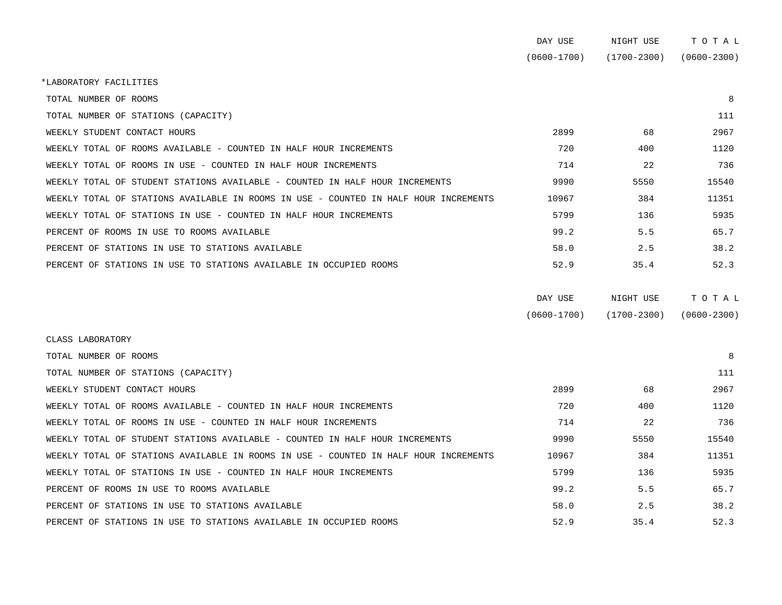|                                                                                      | DAY USE         | NIGHT USE       | TOTAL           |
|--------------------------------------------------------------------------------------|-----------------|-----------------|-----------------|
|                                                                                      | $(0600 - 1700)$ | $(1700 - 2300)$ | $(0600 - 2300)$ |
| *LABORATORY FACILITIES                                                               |                 |                 |                 |
| TOTAL NUMBER OF ROOMS                                                                |                 |                 | 8               |
| TOTAL NUMBER OF STATIONS (CAPACITY)                                                  |                 |                 | 111             |
| WEEKLY STUDENT CONTACT HOURS                                                         | 2899            | 68              | 2967            |
| WEEKLY TOTAL OF ROOMS AVAILABLE - COUNTED IN HALF HOUR INCREMENTS                    | 720             | 400             | 1120            |
| WEEKLY TOTAL OF ROOMS IN USE - COUNTED IN HALF HOUR INCREMENTS                       | 714             | 22              | 736             |
| WEEKLY TOTAL OF STUDENT STATIONS AVAILABLE - COUNTED IN HALF HOUR INCREMENTS         | 9990            | 5550            | 15540           |
| WEEKLY TOTAL OF STATIONS AVAILABLE IN ROOMS IN USE - COUNTED IN HALF HOUR INCREMENTS | 10967           | 384             | 11351           |
| WEEKLY TOTAL OF STATIONS IN USE - COUNTED IN HALF HOUR INCREMENTS                    | 5799            | 136             | 5935            |
| PERCENT OF ROOMS IN USE TO ROOMS AVAILABLE                                           | 99.2            | 5.5             | 65.7            |
| PERCENT OF STATIONS IN USE TO STATIONS AVAILABLE                                     | 58.0            | 2.5             | 38.2            |
| PERCENT OF STATIONS IN USE TO STATIONS AVAILABLE IN OCCUPIED ROOMS                   | 52.9            | 35.4            | 52.3            |
|                                                                                      |                 |                 |                 |
|                                                                                      | DAY USE         | NIGHT USE       | TOTAL           |
|                                                                                      |                 |                 |                 |

| $(0600 - 1700)$ | $(1700 - 2300)$ | $(0600 - 2300)$ |
|-----------------|-----------------|-----------------|

| CLASS LABORATORY                                                                     |       |      |       |  |
|--------------------------------------------------------------------------------------|-------|------|-------|--|
| TOTAL NUMBER OF ROOMS                                                                |       |      | 8     |  |
| TOTAL NUMBER OF STATIONS (CAPACITY)                                                  |       |      | 111   |  |
| WEEKLY STUDENT CONTACT HOURS                                                         | 2899  | 68   | 2967  |  |
| WEEKLY TOTAL OF ROOMS AVAILABLE - COUNTED IN HALF HOUR INCREMENTS                    | 720   | 400  | 1120  |  |
| WEEKLY TOTAL OF ROOMS IN USE - COUNTED IN HALF HOUR INCREMENTS                       | 714   | 22   | 736   |  |
| WEEKLY TOTAL OF STUDENT STATIONS AVAILABLE - COUNTED IN HALF HOUR INCREMENTS         | 9990  | 5550 | 15540 |  |
| WEEKLY TOTAL OF STATIONS AVAILABLE IN ROOMS IN USE - COUNTED IN HALF HOUR INCREMENTS | 10967 | 384  | 11351 |  |
| WEEKLY TOTAL OF STATIONS IN USE - COUNTED IN HALF HOUR INCREMENTS                    | 5799  | 136  | 5935  |  |
| PERCENT OF ROOMS IN USE TO ROOMS AVAILABLE                                           | 99.2  | 5.5  | 65.7  |  |
| PERCENT OF STATIONS IN USE TO STATIONS AVAILABLE                                     | 58.0  | 2.5  | 38.2  |  |
| PERCENT OF STATIONS IN USE TO STATIONS AVAILABLE IN OCCUPIED ROOMS                   | 52.9  | 35.4 | 52.3  |  |
|                                                                                      |       |      |       |  |